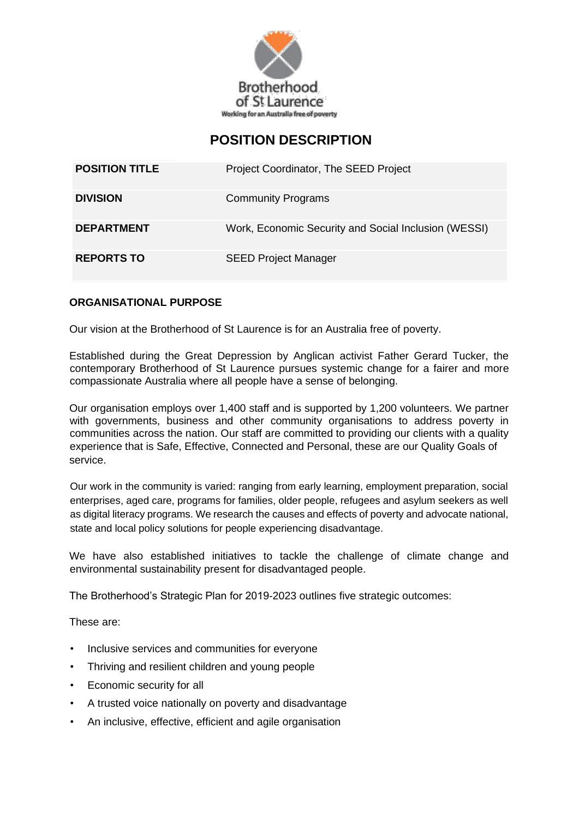

# **POSITION DESCRIPTION**

| <b>POSITION TITLE</b> | Project Coordinator, The SEED Project                |
|-----------------------|------------------------------------------------------|
| <b>DIVISION</b>       | <b>Community Programs</b>                            |
| <b>DEPARTMENT</b>     | Work, Economic Security and Social Inclusion (WESSI) |
| <b>REPORTS TO</b>     | <b>SEED Project Manager</b>                          |

## **ORGANISATIONAL PURPOSE**

Our vision at the Brotherhood of St Laurence is for an Australia free of poverty.

Established during the Great Depression by Anglican activist Father Gerard Tucker, the contemporary Brotherhood of St Laurence pursues systemic change for a fairer and more compassionate Australia where all people have a sense of belonging.

Our organisation employs over 1,400 staff and is supported by 1,200 volunteers. We partner with governments, business and other community organisations to address poverty in communities across the nation. Our staff are committed to providing our clients with a quality experience that is Safe, Effective, Connected and Personal, these are our Quality Goals of service.

Our work in the community is varied: ranging from early learning, employment preparation, social enterprises, aged care, programs for families, older people, refugees and asylum seekers as well as digital literacy programs. We research the causes and effects of poverty and advocate national, state and local policy solutions for people experiencing disadvantage.

We have also established initiatives to tackle the challenge of climate change and environmental sustainability present for disadvantaged people.

The Brotherhood's Strategic Plan for 2019-2023 outlines five strategic outcomes:

These are:

- Inclusive services and communities for everyone
- Thriving and resilient children and young people
- Economic security for all
- A trusted voice nationally on poverty and disadvantage
- An inclusive, effective, efficient and agile organisation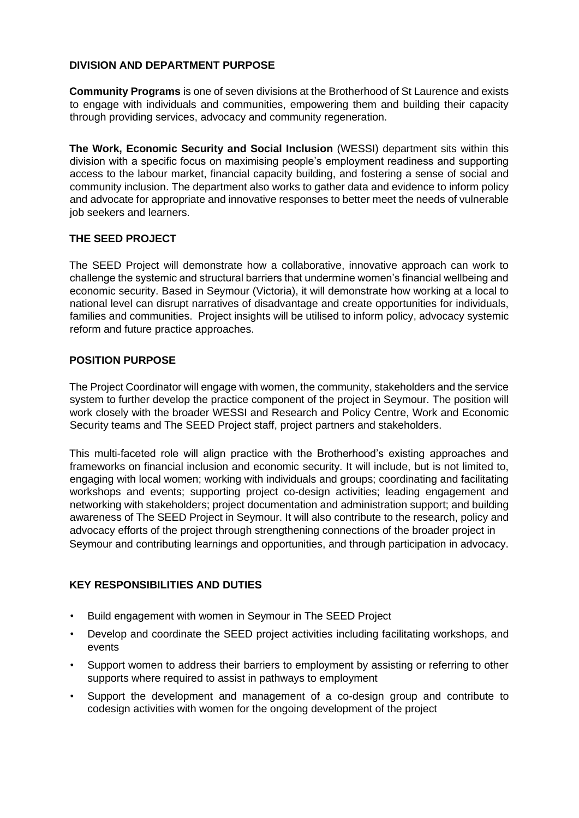## **DIVISION AND DEPARTMENT PURPOSE**

**Community Programs** is one of seven divisions at the Brotherhood of St Laurence and exists to engage with individuals and communities, empowering them and building their capacity through providing services, advocacy and community regeneration.

**The Work, Economic Security and Social Inclusion** (WESSI) department sits within this division with a specific focus on maximising people's employment readiness and supporting access to the labour market, financial capacity building, and fostering a sense of social and community inclusion. The department also works to gather data and evidence to inform policy and advocate for appropriate and innovative responses to better meet the needs of vulnerable job seekers and learners.

## **THE SEED PROJECT**

The SEED Project will demonstrate how a collaborative, innovative approach can work to challenge the systemic and structural barriers that undermine women's financial wellbeing and economic security. Based in Seymour (Victoria), it will demonstrate how working at a local to national level can disrupt narratives of disadvantage and create opportunities for individuals, families and communities. Project insights will be utilised to inform policy, advocacy systemic reform and future practice approaches.

## **POSITION PURPOSE**

The Project Coordinator will engage with women, the community, stakeholders and the service system to further develop the practice component of the project in Seymour. The position will work closely with the broader WESSI and Research and Policy Centre, Work and Economic Security teams and The SEED Project staff, project partners and stakeholders.

This multi-faceted role will align practice with the Brotherhood's existing approaches and frameworks on financial inclusion and economic security. It will include, but is not limited to, engaging with local women; working with individuals and groups; coordinating and facilitating workshops and events; supporting project co-design activities; leading engagement and networking with stakeholders; project documentation and administration support; and building awareness of The SEED Project in Seymour. It will also contribute to the research, policy and advocacy efforts of the project through strengthening connections of the broader project in Seymour and contributing learnings and opportunities, and through participation in advocacy.

## **KEY RESPONSIBILITIES AND DUTIES**

- Build engagement with women in Seymour in The SEED Project
- Develop and coordinate the SEED project activities including facilitating workshops, and events
- Support women to address their barriers to employment by assisting or referring to other supports where required to assist in pathways to employment
- Support the development and management of a co-design group and contribute to codesign activities with women for the ongoing development of the project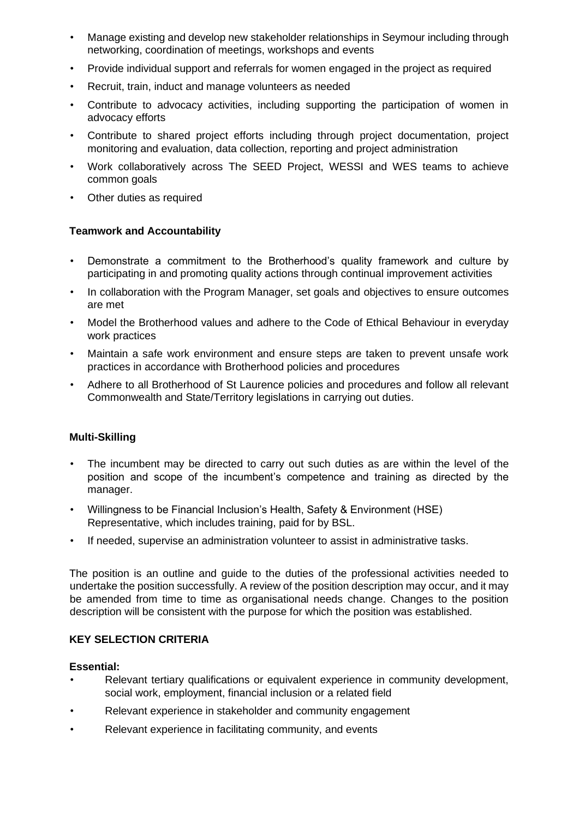- Manage existing and develop new stakeholder relationships in Seymour including through networking, coordination of meetings, workshops and events
- Provide individual support and referrals for women engaged in the project as required
- Recruit, train, induct and manage volunteers as needed
- Contribute to advocacy activities, including supporting the participation of women in advocacy efforts
- Contribute to shared project efforts including through project documentation, project monitoring and evaluation, data collection, reporting and project administration
- Work collaboratively across The SEED Project, WESSI and WES teams to achieve common goals
- Other duties as required

## **Teamwork and Accountability**

- Demonstrate a commitment to the Brotherhood's quality framework and culture by participating in and promoting quality actions through continual improvement activities
- In collaboration with the Program Manager, set goals and objectives to ensure outcomes are met
- Model the Brotherhood values and adhere to the Code of Ethical Behaviour in everyday work practices
- Maintain a safe work environment and ensure steps are taken to prevent unsafe work practices in accordance with Brotherhood policies and procedures
- Adhere to all Brotherhood of St Laurence policies and procedures and follow all relevant Commonwealth and State/Territory legislations in carrying out duties.

#### **Multi-Skilling**

- The incumbent may be directed to carry out such duties as are within the level of the position and scope of the incumbent's competence and training as directed by the manager.
- Willingness to be Financial Inclusion's Health, Safety & Environment (HSE) Representative, which includes training, paid for by BSL.
- If needed, supervise an administration volunteer to assist in administrative tasks.

The position is an outline and guide to the duties of the professional activities needed to undertake the position successfully. A review of the position description may occur, and it may be amended from time to time as organisational needs change. Changes to the position description will be consistent with the purpose for which the position was established.

#### **KEY SELECTION CRITERIA**

#### **Essential:**

- Relevant tertiary qualifications or equivalent experience in community development, social work, employment, financial inclusion or a related field
- Relevant experience in stakeholder and community engagement
- Relevant experience in facilitating community, and events